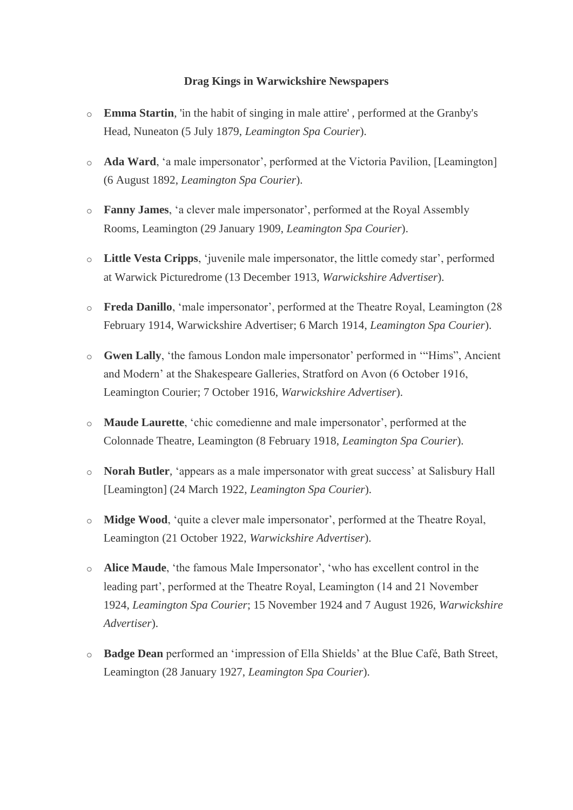## **Drag Kings in Warwickshire Newspapers**

- o **Emma Startin**, 'in the habit of singing in male attire' , performed at the Granby's Head, Nuneaton (5 July 1879, *Leamington Spa Courier*).
- o **Ada Ward**, 'a male impersonator', performed at the Victoria Pavilion, [Leamington] (6 August 1892, *Leamington Spa Courier*).
- o **Fanny James**, 'a clever male impersonator', performed at the Royal Assembly Rooms, Leamington (29 January 1909, *Leamington Spa Courier*).
- o **Little Vesta Cripps**, 'juvenile male impersonator, the little comedy star', performed at Warwick Picturedrome (13 December 1913, *Warwickshire Advertiser*).
- o **Freda Danillo**, 'male impersonator', performed at the Theatre Royal, Leamington (28 February 1914, Warwickshire Advertiser; 6 March 1914, *Leamington Spa Courier*).
- o **Gwen Lally**, 'the famous London male impersonator' performed in '"Hims", Ancient and Modern' at the Shakespeare Galleries, Stratford on Avon (6 October 1916, Leamington Courier; 7 October 1916, *Warwickshire Advertiser*).
- o **Maude Laurette**, 'chic comedienne and male impersonator', performed at the Colonnade Theatre, Leamington (8 February 1918, *Leamington Spa Courier*).
- o **Norah Butler**, 'appears as a male impersonator with great success' at Salisbury Hall [Leamington] (24 March 1922, *Leamington Spa Courier*).
- o **Midge Wood**, 'quite a clever male impersonator', performed at the Theatre Royal, Leamington (21 October 1922, *Warwickshire Advertiser*).
- o **Alice Maude**, 'the famous Male Impersonator', 'who has excellent control in the leading part', performed at the Theatre Royal, Leamington (14 and 21 November 1924, *Leamington Spa Courier*; 15 November 1924 and 7 August 1926, *Warwickshire Advertiser*).
- o **Badge Dean** performed an 'impression of Ella Shields' at the Blue Café, Bath Street, Leamington (28 January 1927, *Leamington Spa Courier*).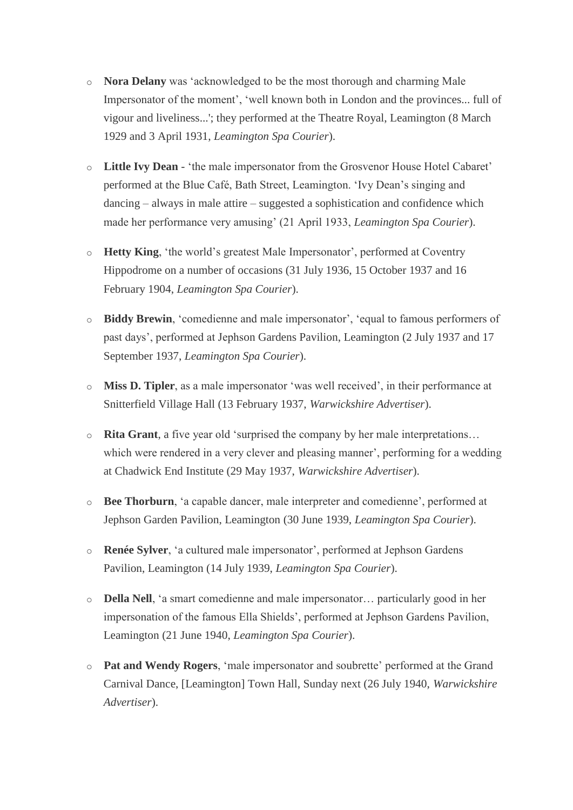- o **Nora Delany** was 'acknowledged to be the most thorough and charming Male Impersonator of the moment', 'well known both in London and the provinces... full of vigour and liveliness...'; they performed at the Theatre Royal, Leamington (8 March 1929 and 3 April 1931, *Leamington Spa Courier*).
- o **Little Ivy Dean** 'the male impersonator from the Grosvenor House Hotel Cabaret' performed at the Blue Café, Bath Street, Leamington. 'Ivy Dean's singing and dancing – always in male attire – suggested a sophistication and confidence which made her performance very amusing' (21 April 1933, *Leamington Spa Courier*).
- o **Hetty King**, 'the world's greatest Male Impersonator', performed at Coventry Hippodrome on a number of occasions (31 July 1936, 15 October 1937 and 16 February 1904, *Leamington Spa Courier*).
- o **Biddy Brewin**, 'comedienne and male impersonator', 'equal to famous performers of past days', performed at Jephson Gardens Pavilion, Leamington (2 July 1937 and 17 September 1937, *Leamington Spa Courier*).
- o **Miss D. Tipler**, as a male impersonator 'was well received', in their performance at Snitterfield Village Hall (13 February 1937, *Warwickshire Advertiser*).
- o **Rita Grant**, a five year old 'surprised the company by her male interpretations… which were rendered in a very clever and pleasing manner', performing for a wedding at Chadwick End Institute (29 May 1937, *Warwickshire Advertiser*).
- o **Bee Thorburn**, 'a capable dancer, male interpreter and comedienne', performed at Jephson Garden Pavilion, Leamington (30 June 1939, *Leamington Spa Courier*).
- o **Renée Sylver**, 'a cultured male impersonator', performed at Jephson Gardens Pavilion, Leamington (14 July 1939, *Leamington Spa Courier*).
- o **Della Nell**, 'a smart comedienne and male impersonator… particularly good in her impersonation of the famous Ella Shields', performed at Jephson Gardens Pavilion, Leamington (21 June 1940, *Leamington Spa Courier*).
- o **Pat and Wendy Rogers**, 'male impersonator and soubrette' performed at the Grand Carnival Dance, [Leamington] Town Hall, Sunday next (26 July 1940, *Warwickshire Advertiser*).